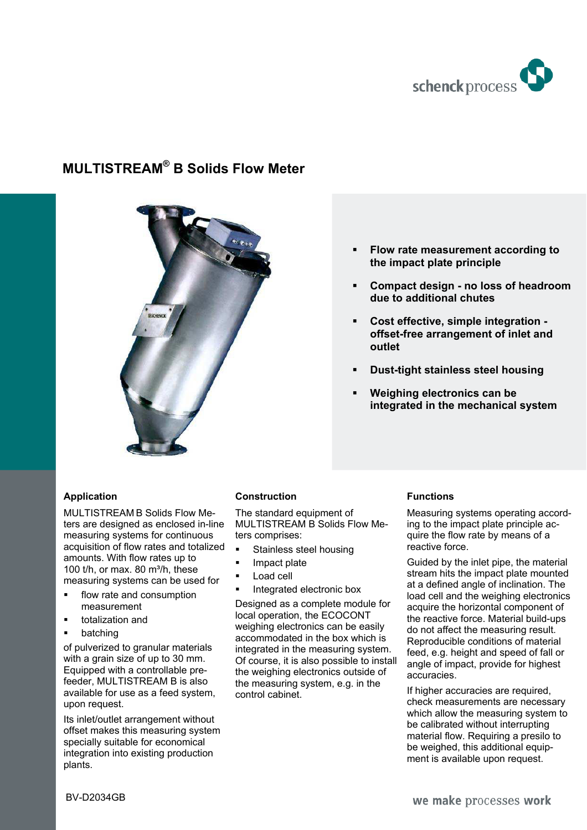

# **MULTISTREAM® B Solids Flow Meter**



#### **Flow rate measurement according to the impact plate principle**

- **Compact design no loss of headroom due to additional chutes**
- **Cost effective, simple integration offset-free arrangement of inlet and outlet**
- **Dust-tight stainless steel housing**
- **Weighing electronics can be integrated in the mechanical system**

## **Application**

MULTISTREAM B Solids Flow Meters are designed as enclosed in-line measuring systems for continuous acquisition of flow rates and totalized amounts. With flow rates up to 100  $t/h$ , or max. 80  $m^3/h$ , these measuring systems can be used for

- flow rate and consumption measurement
- totalization and
- **•** batching

of pulverized to granular materials with a grain size of up to 30 mm. Equipped with a controllable prefeeder, MULTISTREAM B is also available for use as a feed system, upon request.

Its inlet/outlet arrangement without offset makes this measuring system specially suitable for economical integration into existing production plants.

#### **Construction**

The standard equipment of MULTISTREAM B Solids Flow Meters comprises:

- Stainless steel housing
- Impact plate
- Load cell
- Integrated electronic box

Designed as a complete module for local operation, the ECOCONT weighing electronics can be easily accommodated in the box which is integrated in the measuring system. Of course, it is also possible to install the weighing electronics outside of the measuring system, e.g. in the control cabinet.

## **Functions**

Measuring systems operating according to the impact plate principle acquire the flow rate by means of a reactive force.

Guided by the inlet pipe, the material stream hits the impact plate mounted at a defined angle of inclination. The load cell and the weighing electronics acquire the horizontal component of the reactive force. Material build-ups do not affect the measuring result. Reproducible conditions of material feed, e.g. height and speed of fall or angle of impact, provide for highest accuracies.

If higher accuracies are required, check measurements are necessary which allow the measuring system to be calibrated without interrupting material flow. Requiring a presilo to be weighed, this additional equipment is available upon request.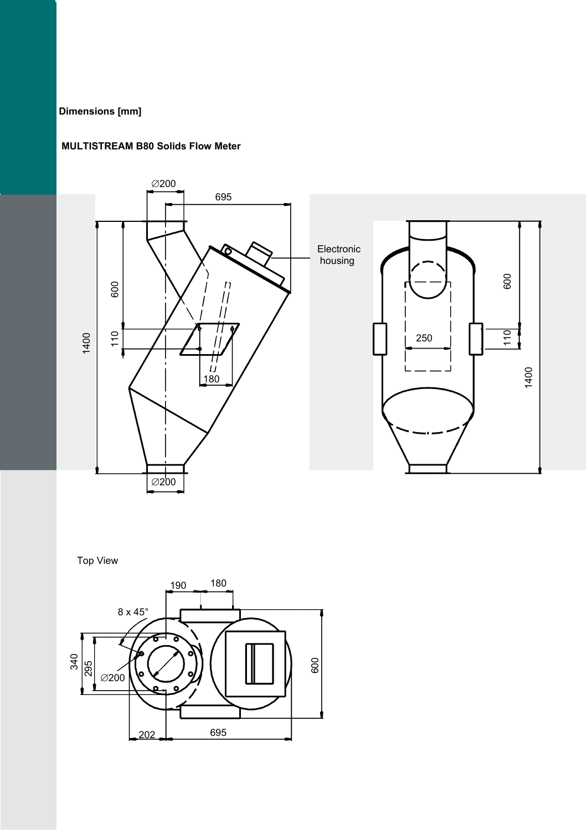## **Dimensions [mm]**

#### **MULTISTREAM B80 Solids Flow Meter**



Top View

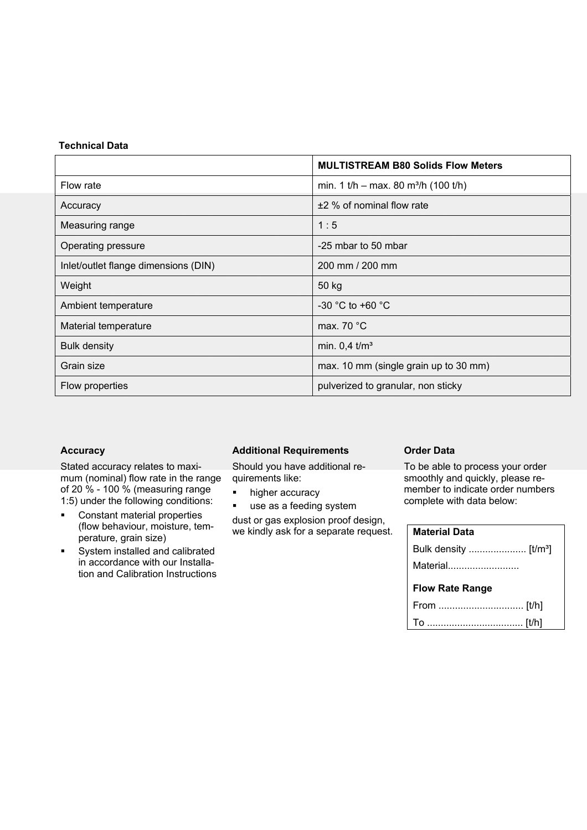#### **Technical Data**

|                                      | <b>MULTISTREAM B80 Solids Flow Meters</b>        |
|--------------------------------------|--------------------------------------------------|
| Flow rate                            | min. 1 t/h – max. 80 m <sup>3</sup> /h (100 t/h) |
| Accuracy                             | $±2$ % of nominal flow rate                      |
| Measuring range                      | 1:5                                              |
| Operating pressure                   | -25 mbar to 50 mbar                              |
| Inlet/outlet flange dimensions (DIN) | 200 mm / 200 mm                                  |
| Weight                               | 50 kg                                            |
| Ambient temperature                  | -30 °C to +60 $^{\circ}$ C                       |
| Material temperature                 | max. 70 $\degree$ C                              |
| <b>Bulk density</b>                  | min. $0.4 \text{ } \text{tm}^3$                  |
| Grain size                           | max. 10 mm (single grain up to 30 mm)            |
| Flow properties                      | pulverized to granular, non sticky               |

#### **Accuracy**

Stated accuracy relates to maximum (nominal) flow rate in the range of 20 % - 100 % (measuring range 1:5) under the following conditions:

- **•** Constant material properties (flow behaviour, moisture, temperature, grain size)
- **System installed and calibrated** in accordance with our Installation and Calibration Instructions

#### **Additional Requirements**

Should you have additional requirements like:

- higher accuracy
- use as a feeding system

dust or gas explosion proof design, we kindly ask for a separate request.

## **Order Data**

To be able to process your order smoothly and quickly, please remember to indicate order numbers complete with data below:

#### **Material Data**

| Material               |  |  |
|------------------------|--|--|
| <b>Flow Rate Range</b> |  |  |
|                        |  |  |
|                        |  |  |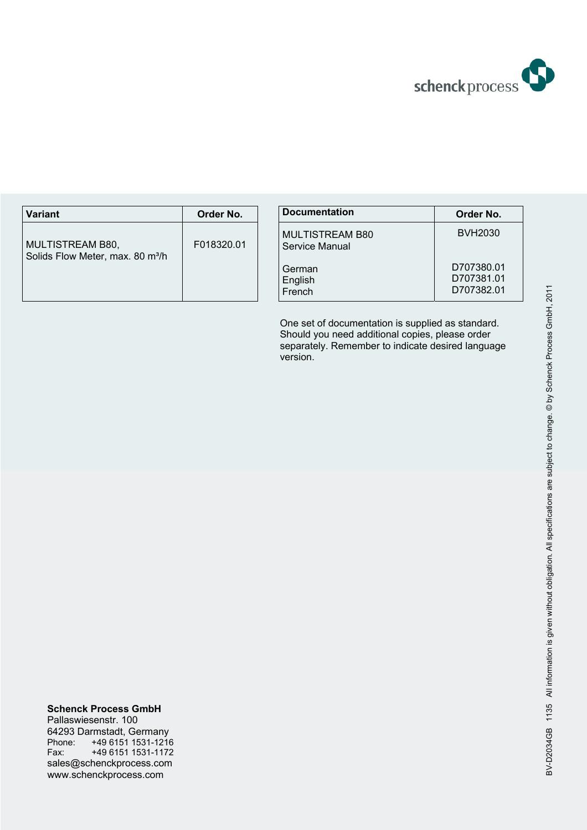

| <b>Variant</b>                                                   | Order No.  | <b>Documentation</b>                     |
|------------------------------------------------------------------|------------|------------------------------------------|
| MULTISTREAM B80,<br>Solids Flow Meter, max. 80 m <sup>3</sup> /h | F018320.01 | <b>MULTISTREAM B80</b><br>Service Manual |
|                                                                  |            | German<br>English<br>French              |

| <b>Documentation</b>                     | Order No.                              |
|------------------------------------------|----------------------------------------|
| <b>MULTISTREAM B80</b><br>Service Manual | <b>BVH2030</b>                         |
| German<br>English<br>French              | D707380.01<br>D707381.01<br>D707382.01 |

One set of documentation is supplied as standard. Should you need additional copies, please order separately. Remember to indicate desired language version.

**Schenck Process GmbH**  Pallaswiesenstr. 100 64293 Darmstadt, Germany Phone: +49 6151 1531-1216 Fax: +49 6151 1531-1172 sales@schenckprocess.com wwww.schenckprocess.com